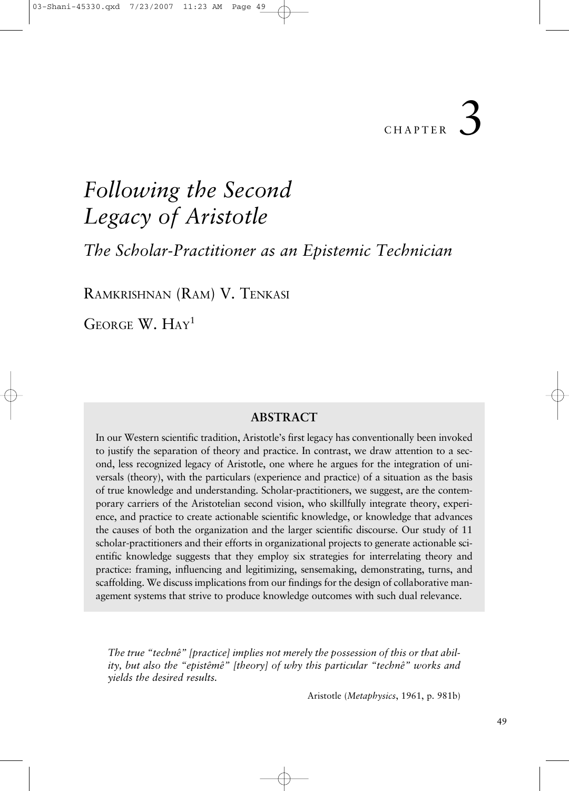# 3 CHAPTER

# *Following the Second Legacy of Aristotle*

*The Scholar-Practitioner as an Epistemic Technician*

RAMKRISHNAN (RAM) V. TENKASI

GEORGE W. HAY1

# **ABSTRACT**

In our Western scientific tradition, Aristotle's first legacy has conventionally been invoked to justify the separation of theory and practice. In contrast, we draw attention to a second, less recognized legacy of Aristotle, one where he argues for the integration of universals (theory), with the particulars (experience and practice) of a situation as the basis of true knowledge and understanding. Scholar-practitioners, we suggest, are the contemporary carriers of the Aristotelian second vision, who skillfully integrate theory, experience, and practice to create actionable scientific knowledge, or knowledge that advances the causes of both the organization and the larger scientific discourse. Our study of 11 scholar-practitioners and their efforts in organizational projects to generate actionable scientific knowledge suggests that they employ six strategies for interrelating theory and practice: framing, influencing and legitimizing, sensemaking, demonstrating, turns, and scaffolding. We discuss implications from our findings for the design of collaborative management systems that strive to produce knowledge outcomes with such dual relevance.

*The true "technê" [practice] implies not merely the possession of this or that ability, but also the "epistêmê" [theory] of why this particular "technê" works and yields the desired results.*

Aristotle (*Metaphysics*, 1961, p. 981b)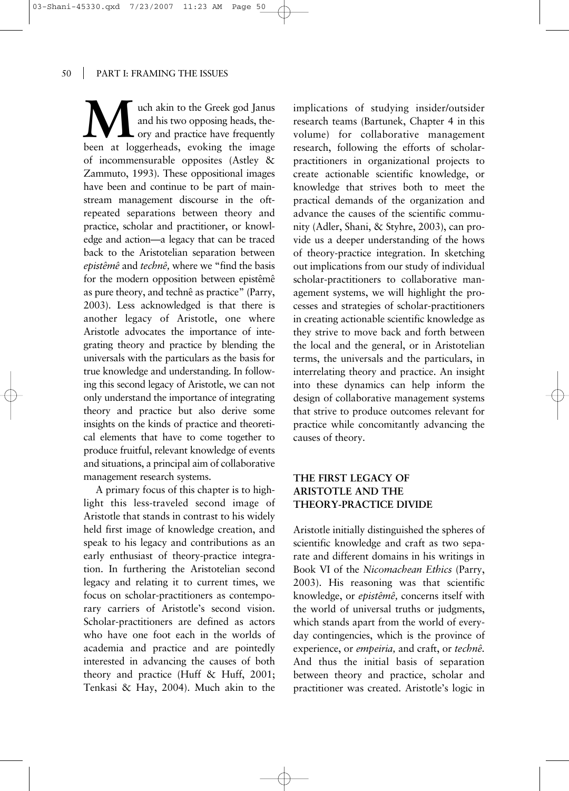**M** uch akin to the Greek god Janus<br>and his two opposing heads, the-<br>been at loggerheads evoking the image and his two opposing heads, theory and practice have frequently been at loggerheads, evoking the image of incommensurable opposites (Astley & Zammuto, 1993). These oppositional images have been and continue to be part of mainstream management discourse in the oftrepeated separations between theory and practice, scholar and practitioner, or knowledge and action—a legacy that can be traced back to the Aristotelian separation between *epistêmê* and *technê,* where we "find the basis for the modern opposition between epistêmê as pure theory, and technê as practice" (Parry, 2003). Less acknowledged is that there is another legacy of Aristotle, one where Aristotle advocates the importance of integrating theory and practice by blending the universals with the particulars as the basis for true knowledge and understanding. In following this second legacy of Aristotle, we can not only understand the importance of integrating theory and practice but also derive some insights on the kinds of practice and theoretical elements that have to come together to produce fruitful, relevant knowledge of events and situations, a principal aim of collaborative management research systems.

A primary focus of this chapter is to highlight this less-traveled second image of Aristotle that stands in contrast to his widely held first image of knowledge creation, and speak to his legacy and contributions as an early enthusiast of theory-practice integration. In furthering the Aristotelian second legacy and relating it to current times, we focus on scholar-practitioners as contemporary carriers of Aristotle's second vision. Scholar-practitioners are defined as actors who have one foot each in the worlds of academia and practice and are pointedly interested in advancing the causes of both theory and practice (Huff & Huff, 2001; Tenkasi & Hay, 2004). Much akin to the

implications of studying insider/outsider research teams (Bartunek, Chapter 4 in this volume) for collaborative management research, following the efforts of scholarpractitioners in organizational projects to create actionable scientific knowledge, or knowledge that strives both to meet the practical demands of the organization and advance the causes of the scientific community (Adler, Shani, & Styhre, 2003), can provide us a deeper understanding of the hows of theory-practice integration. In sketching out implications from our study of individual scholar-practitioners to collaborative management systems, we will highlight the processes and strategies of scholar-practitioners in creating actionable scientific knowledge as they strive to move back and forth between the local and the general, or in Aristotelian terms, the universals and the particulars, in interrelating theory and practice. An insight into these dynamics can help inform the design of collaborative management systems that strive to produce outcomes relevant for practice while concomitantly advancing the causes of theory.

# **THE FIRST LEGACY OF ARISTOTLE AND THE THEORY-PRACTICE DIVIDE**

Aristotle initially distinguished the spheres of scientific knowledge and craft as two separate and different domains in his writings in Book VI of the *Nicomachean Ethics* (Parry, 2003). His reasoning was that scientific knowledge, or *epistêmê,* concerns itself with the world of universal truths or judgments, which stands apart from the world of everyday contingencies, which is the province of experience, or *empeiria,* and craft, or *technê.* And thus the initial basis of separation between theory and practice, scholar and practitioner was created. Aristotle's logic in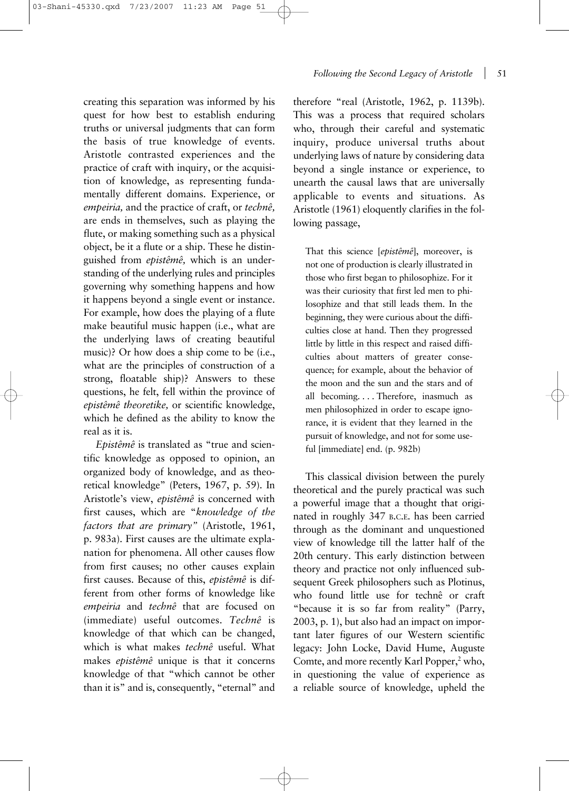creating this separation was informed by his quest for how best to establish enduring truths or universal judgments that can form the basis of true knowledge of events. Aristotle contrasted experiences and the practice of craft with inquiry, or the acquisition of knowledge, as representing fundamentally different domains. Experience, or *empeiria,* and the practice of craft, or *technê,* are ends in themselves, such as playing the flute, or making something such as a physical object, be it a flute or a ship. These he distinguished from *epistêmê,* which is an understanding of the underlying rules and principles governing why something happens and how it happens beyond a single event or instance. For example, how does the playing of a flute make beautiful music happen (i.e., what are the underlying laws of creating beautiful music)? Or how does a ship come to be (i.e., what are the principles of construction of a strong, floatable ship)? Answers to these questions, he felt, fell within the province of *epistêmê theoretike,* or scientific knowledge, which he defined as the ability to know the real as it is.

*Epistêmê* is translated as "true and scientific knowledge as opposed to opinion, an organized body of knowledge, and as theoretical knowledge" (Peters, 1967, p. 59). In Aristotle's view, *epistêmê* is concerned with first causes, which are "*knowledge of the factors that are primary"* (Aristotle, 1961, p. 983a). First causes are the ultimate explanation for phenomena. All other causes flow from first causes; no other causes explain first causes. Because of this, *epistêmê* is different from other forms of knowledge like *empeiria* and *technê* that are focused on (immediate) useful outcomes. *Technê* is knowledge of that which can be changed, which is what makes *technê* useful. What makes *epistêmê* unique is that it concerns knowledge of that "which cannot be other than it is" and is, consequently, "eternal" and

## *Following the Second Legacy of Aristotle* | 51

therefore "real (Aristotle, 1962, p. 1139b). This was a process that required scholars who, through their careful and systematic inquiry, produce universal truths about underlying laws of nature by considering data beyond a single instance or experience, to unearth the causal laws that are universally applicable to events and situations. As Aristotle (1961) eloquently clarifies in the following passage,

That this science [*epistêmê*], moreover, is not one of production is clearly illustrated in those who first began to philosophize. For it was their curiosity that first led men to philosophize and that still leads them. In the beginning, they were curious about the difficulties close at hand. Then they progressed little by little in this respect and raised difficulties about matters of greater consequence; for example, about the behavior of the moon and the sun and the stars and of all becoming. . . . Therefore, inasmuch as men philosophized in order to escape ignorance, it is evident that they learned in the pursuit of knowledge, and not for some useful [immediate] end. (p. 982b)

This classical division between the purely theoretical and the purely practical was such a powerful image that a thought that originated in roughly 347 B.C.E. has been carried through as the dominant and unquestioned view of knowledge till the latter half of the 20th century. This early distinction between theory and practice not only influenced subsequent Greek philosophers such as Plotinus, who found little use for technê or craft "because it is so far from reality" (Parry, 2003, p. 1), but also had an impact on important later figures of our Western scientific legacy: John Locke, David Hume, Auguste Comte, and more recently Karl Popper,<sup>2</sup> who, in questioning the value of experience as a reliable source of knowledge, upheld the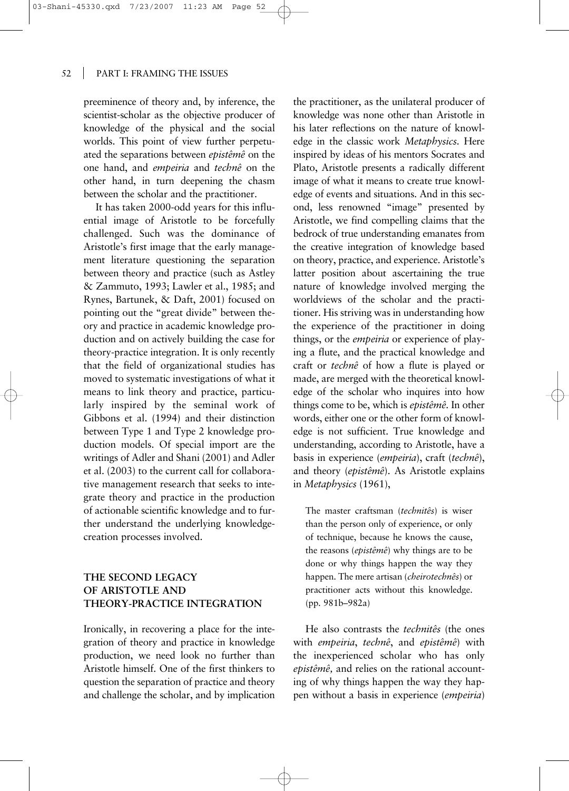preeminence of theory and, by inference, the scientist-scholar as the objective producer of knowledge of the physical and the social worlds. This point of view further perpetuated the separations between *epistêmê* on the one hand, and *empeiria* and *technê* on the other hand, in turn deepening the chasm between the scholar and the practitioner.

It has taken 2000-odd years for this influential image of Aristotle to be forcefully challenged. Such was the dominance of Aristotle's first image that the early management literature questioning the separation between theory and practice (such as Astley & Zammuto, 1993; Lawler et al., 1985; and Rynes, Bartunek, & Daft, 2001) focused on pointing out the "great divide" between theory and practice in academic knowledge production and on actively building the case for theory-practice integration. It is only recently that the field of organizational studies has moved to systematic investigations of what it means to link theory and practice, particularly inspired by the seminal work of Gibbons et al. (1994) and their distinction between Type 1 and Type 2 knowledge production models. Of special import are the writings of Adler and Shani (2001) and Adler et al. (2003) to the current call for collaborative management research that seeks to integrate theory and practice in the production of actionable scientific knowledge and to further understand the underlying knowledgecreation processes involved.

# **THE SECOND LEGACY OF ARISTOTLE AND THEORY-PRACTICE INTEGRATION**

Ironically, in recovering a place for the integration of theory and practice in knowledge production, we need look no further than Aristotle himself. One of the first thinkers to question the separation of practice and theory and challenge the scholar, and by implication

the practitioner, as the unilateral producer of knowledge was none other than Aristotle in his later reflections on the nature of knowledge in the classic work *Metaphysics.* Here inspired by ideas of his mentors Socrates and Plato, Aristotle presents a radically different image of what it means to create true knowledge of events and situations. And in this second, less renowned "image" presented by Aristotle, we find compelling claims that the bedrock of true understanding emanates from the creative integration of knowledge based on theory, practice, and experience. Aristotle's latter position about ascertaining the true nature of knowledge involved merging the worldviews of the scholar and the practitioner. His striving was in understanding how the experience of the practitioner in doing things, or the *empeiria* or experience of playing a flute, and the practical knowledge and craft or *technê* of how a flute is played or made, are merged with the theoretical knowledge of the scholar who inquires into how things come to be, which is *epistêmê.* In other words, either one or the other form of knowledge is not sufficient. True knowledge and understanding, according to Aristotle, have a basis in experience (*empeiria*), craft (*technê*), and theory (*epistêmê*). As Aristotle explains in *Metaphysics* (1961),

The master craftsman (*technitês*) is wiser than the person only of experience, or only of technique, because he knows the cause, the reasons (*epistêmê*) why things are to be done or why things happen the way they happen. The mere artisan (*cheirotechnês*) or practitioner acts without this knowledge. (pp. 981b–982a)

He also contrasts the *technitês* (the ones with *empeiria*, *technê*, and *epistêmê*) with the inexperienced scholar who has only *epistêmê,* and relies on the rational accounting of why things happen the way they happen without a basis in experience (*empeiria*)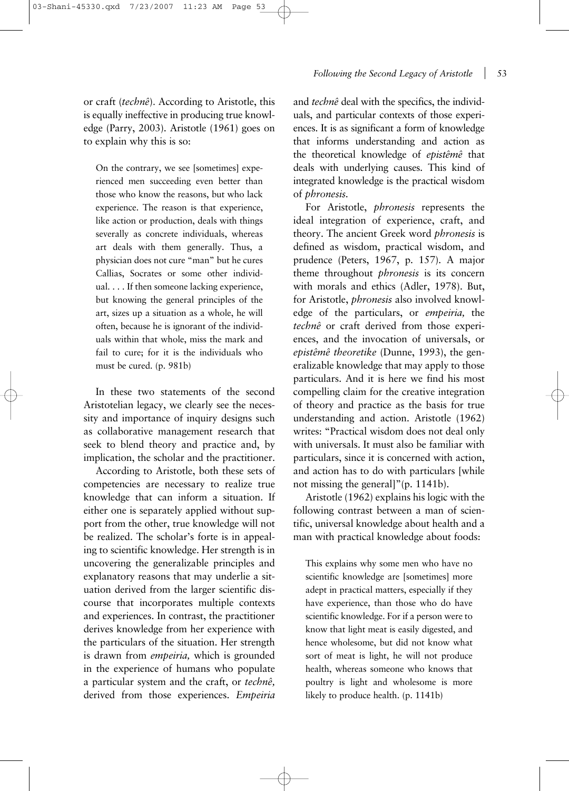#### *Following the Second Legacy of Aristotle* | 53

or craft (*technê*). According to Aristotle, this is equally ineffective in producing true knowledge (Parry, 2003). Aristotle (1961) goes on to explain why this is so:

On the contrary, we see [sometimes] experienced men succeeding even better than those who know the reasons, but who lack experience. The reason is that experience, like action or production, deals with things severally as concrete individuals, whereas art deals with them generally. Thus, a physician does not cure "man" but he cures Callias, Socrates or some other individual. . . . If then someone lacking experience, but knowing the general principles of the art, sizes up a situation as a whole, he will often, because he is ignorant of the individuals within that whole, miss the mark and fail to cure; for it is the individuals who must be cured. (p. 981b)

In these two statements of the second Aristotelian legacy, we clearly see the necessity and importance of inquiry designs such as collaborative management research that seek to blend theory and practice and, by implication, the scholar and the practitioner.

According to Aristotle, both these sets of competencies are necessary to realize true knowledge that can inform a situation. If either one is separately applied without support from the other, true knowledge will not be realized. The scholar's forte is in appealing to scientific knowledge. Her strength is in uncovering the generalizable principles and explanatory reasons that may underlie a situation derived from the larger scientific discourse that incorporates multiple contexts and experiences. In contrast, the practitioner derives knowledge from her experience with the particulars of the situation. Her strength is drawn from *empeiria,* which is grounded in the experience of humans who populate a particular system and the craft, or *technê,* derived from those experiences. *Empeiria*

and *technê* deal with the specifics, the individuals, and particular contexts of those experiences. It is as significant a form of knowledge that informs understanding and action as the theoretical knowledge of *epistêmê* that deals with underlying causes. This kind of integrated knowledge is the practical wisdom of *phronesis.*

For Aristotle, *phronesis* represents the ideal integration of experience, craft, and theory. The ancient Greek word *phronesis* is defined as wisdom, practical wisdom, and prudence (Peters, 1967, p. 157). A major theme throughout *phronesis* is its concern with morals and ethics (Adler, 1978). But, for Aristotle, *phronesis* also involved knowledge of the particulars, or *empeiria,* the *technê* or craft derived from those experiences, and the invocation of universals, or *epistêmê theoretike* (Dunne, 1993), the generalizable knowledge that may apply to those particulars. And it is here we find his most compelling claim for the creative integration of theory and practice as the basis for true understanding and action. Aristotle (1962) writes: "Practical wisdom does not deal only with universals. It must also be familiar with particulars, since it is concerned with action, and action has to do with particulars [while not missing the general]"(p. 1141b).

Aristotle (1962) explains his logic with the following contrast between a man of scientific, universal knowledge about health and a man with practical knowledge about foods:

This explains why some men who have no scientific knowledge are [sometimes] more adept in practical matters, especially if they have experience, than those who do have scientific knowledge. For if a person were to know that light meat is easily digested, and hence wholesome, but did not know what sort of meat is light, he will not produce health, whereas someone who knows that poultry is light and wholesome is more likely to produce health. (p. 1141b)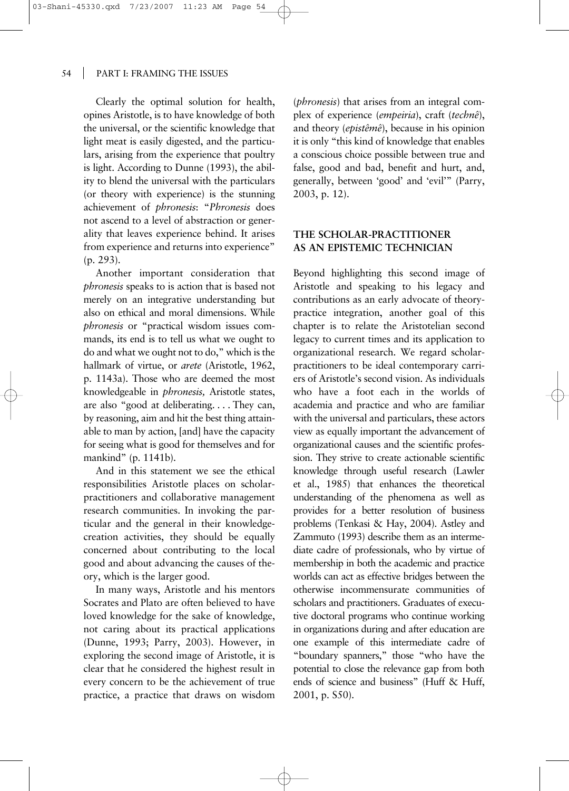Clearly the optimal solution for health, opines Aristotle, is to have knowledge of both the universal, or the scientific knowledge that light meat is easily digested, and the particulars, arising from the experience that poultry is light. According to Dunne (1993), the ability to blend the universal with the particulars (or theory with experience) is the stunning achievement of *phronesis*: "*Phronesis* does not ascend to a level of abstraction or generality that leaves experience behind. It arises from experience and returns into experience" (p. 293).

Another important consideration that *phronesis* speaks to is action that is based not merely on an integrative understanding but also on ethical and moral dimensions. While *phronesis* or "practical wisdom issues commands, its end is to tell us what we ought to do and what we ought not to do," which is the hallmark of virtue, or *arete* (Aristotle, 1962, p. 1143a). Those who are deemed the most knowledgeable in *phronesis,* Aristotle states, are also "good at deliberating. . . . They can, by reasoning, aim and hit the best thing attainable to man by action, [and] have the capacity for seeing what is good for themselves and for mankind" (p. 1141b).

And in this statement we see the ethical responsibilities Aristotle places on scholarpractitioners and collaborative management research communities. In invoking the particular and the general in their knowledgecreation activities, they should be equally concerned about contributing to the local good and about advancing the causes of theory, which is the larger good.

In many ways, Aristotle and his mentors Socrates and Plato are often believed to have loved knowledge for the sake of knowledge, not caring about its practical applications (Dunne, 1993; Parry, 2003). However, in exploring the second image of Aristotle, it is clear that he considered the highest result in every concern to be the achievement of true practice, a practice that draws on wisdom

(*phronesis*) that arises from an integral complex of experience (*empeiria*), craft (*technê*), and theory (*epistêmê*), because in his opinion it is only "this kind of knowledge that enables a conscious choice possible between true and false, good and bad, benefit and hurt, and, generally, between 'good' and 'evil'" (Parry, 2003, p. 12).

## **THE SCHOLAR-PRACTITIONER AS AN EPISTEMIC TECHNICIAN**

Beyond highlighting this second image of Aristotle and speaking to his legacy and contributions as an early advocate of theorypractice integration, another goal of this chapter is to relate the Aristotelian second legacy to current times and its application to organizational research. We regard scholarpractitioners to be ideal contemporary carriers of Aristotle's second vision. As individuals who have a foot each in the worlds of academia and practice and who are familiar with the universal and particulars, these actors view as equally important the advancement of organizational causes and the scientific profession. They strive to create actionable scientific knowledge through useful research (Lawler et al., 1985) that enhances the theoretical understanding of the phenomena as well as provides for a better resolution of business problems (Tenkasi & Hay, 2004). Astley and Zammuto (1993) describe them as an intermediate cadre of professionals, who by virtue of membership in both the academic and practice worlds can act as effective bridges between the otherwise incommensurate communities of scholars and practitioners. Graduates of executive doctoral programs who continue working in organizations during and after education are one example of this intermediate cadre of "boundary spanners," those "who have the potential to close the relevance gap from both ends of science and business" (Huff & Huff, 2001, p. S50).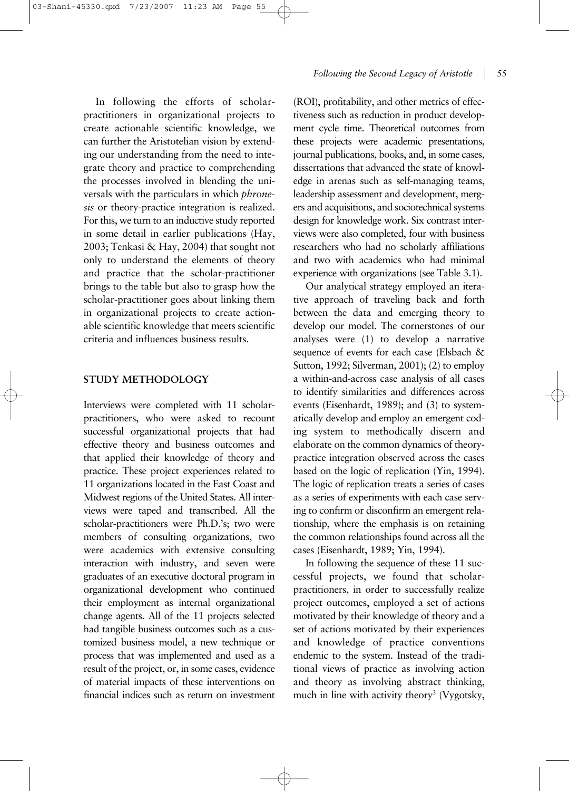In following the efforts of scholarpractitioners in organizational projects to create actionable scientific knowledge, we can further the Aristotelian vision by extending our understanding from the need to integrate theory and practice to comprehending the processes involved in blending the universals with the particulars in which *phronesis* or theory-practice integration is realized. For this, we turn to an inductive study reported in some detail in earlier publications (Hay, 2003; Tenkasi & Hay, 2004) that sought not only to understand the elements of theory and practice that the scholar-practitioner brings to the table but also to grasp how the scholar-practitioner goes about linking them in organizational projects to create actionable scientific knowledge that meets scientific criteria and influences business results.

#### **STUDY METHODOLOGY**

Interviews were completed with 11 scholarpractitioners, who were asked to recount successful organizational projects that had effective theory and business outcomes and that applied their knowledge of theory and practice. These project experiences related to 11 organizations located in the East Coast and Midwest regions of the United States. All interviews were taped and transcribed. All the scholar-practitioners were Ph.D.'s; two were members of consulting organizations, two were academics with extensive consulting interaction with industry, and seven were graduates of an executive doctoral program in organizational development who continued their employment as internal organizational change agents. All of the 11 projects selected had tangible business outcomes such as a customized business model, a new technique or process that was implemented and used as a result of the project, or, in some cases, evidence of material impacts of these interventions on financial indices such as return on investment

## *Following the Second Legacy of Aristotle* | 55

(ROI), profitability, and other metrics of effectiveness such as reduction in product development cycle time. Theoretical outcomes from these projects were academic presentations, journal publications, books, and, in some cases, dissertations that advanced the state of knowledge in arenas such as self-managing teams, leadership assessment and development, mergers and acquisitions, and sociotechnical systems design for knowledge work. Six contrast interviews were also completed, four with business researchers who had no scholarly affiliations and two with academics who had minimal experience with organizations (see Table 3.1).

Our analytical strategy employed an iterative approach of traveling back and forth between the data and emerging theory to develop our model. The cornerstones of our analyses were (1) to develop a narrative sequence of events for each case (Elsbach & Sutton, 1992; Silverman, 2001); (2) to employ a within-and-across case analysis of all cases to identify similarities and differences across events (Eisenhardt, 1989); and (3) to systematically develop and employ an emergent coding system to methodically discern and elaborate on the common dynamics of theorypractice integration observed across the cases based on the logic of replication (Yin, 1994). The logic of replication treats a series of cases as a series of experiments with each case serving to confirm or disconfirm an emergent relationship, where the emphasis is on retaining the common relationships found across all the cases (Eisenhardt, 1989; Yin, 1994).

In following the sequence of these 11 successful projects, we found that scholarpractitioners, in order to successfully realize project outcomes, employed a set of actions motivated by their knowledge of theory and a set of actions motivated by their experiences and knowledge of practice conventions endemic to the system. Instead of the traditional views of practice as involving action and theory as involving abstract thinking, much in line with activity theory<sup>3</sup> (Vygotsky,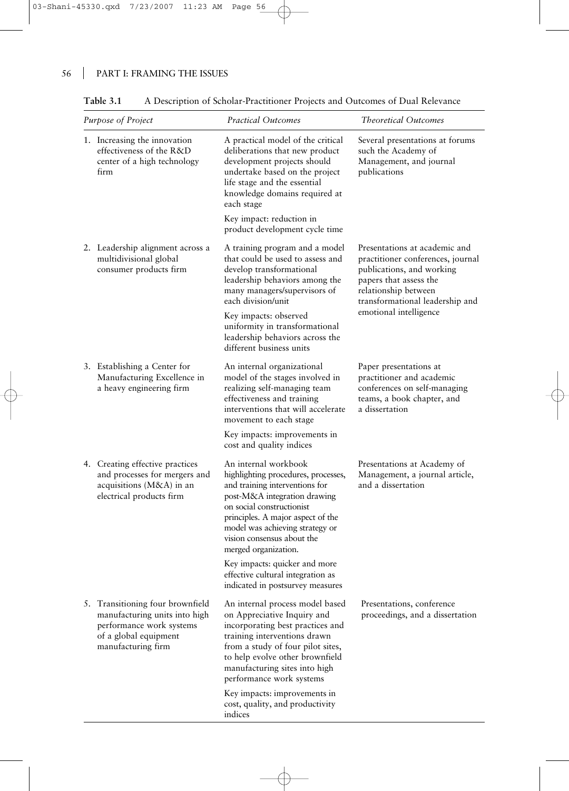**Table 3.1** A Description of Scholar-Practitioner Projects and Outcomes of Dual Relevance

| Purpose of Project |                                                                                                                                              | <b>Practical Outcomes</b>                                                                                                                                                                                                                                                                | Theoretical Outcomes                                                                                                                                                                                           |
|--------------------|----------------------------------------------------------------------------------------------------------------------------------------------|------------------------------------------------------------------------------------------------------------------------------------------------------------------------------------------------------------------------------------------------------------------------------------------|----------------------------------------------------------------------------------------------------------------------------------------------------------------------------------------------------------------|
|                    | 1. Increasing the innovation<br>effectiveness of the R&D<br>center of a high technology<br>firm                                              | A practical model of the critical<br>deliberations that new product<br>development projects should<br>undertake based on the project<br>life stage and the essential<br>knowledge domains required at<br>each stage                                                                      | Several presentations at forums<br>such the Academy of<br>Management, and journal<br>publications                                                                                                              |
|                    |                                                                                                                                              | Key impact: reduction in<br>product development cycle time                                                                                                                                                                                                                               |                                                                                                                                                                                                                |
|                    | 2. Leadership alignment across a<br>multidivisional global<br>consumer products firm                                                         | A training program and a model<br>that could be used to assess and<br>develop transformational<br>leadership behaviors among the<br>many managers/supervisors of<br>each division/unit                                                                                                   | Presentations at academic and<br>practitioner conferences, journal<br>publications, and working<br>papers that assess the<br>relationship between<br>transformational leadership and<br>emotional intelligence |
|                    |                                                                                                                                              | Key impacts: observed<br>uniformity in transformational<br>leadership behaviors across the<br>different business units                                                                                                                                                                   |                                                                                                                                                                                                                |
|                    | 3. Establishing a Center for<br>Manufacturing Excellence in<br>a heavy engineering firm                                                      | An internal organizational<br>model of the stages involved in<br>realizing self-managing team<br>effectiveness and training<br>interventions that will accelerate<br>movement to each stage                                                                                              | Paper presentations at<br>practitioner and academic<br>conferences on self-managing<br>teams, a book chapter, and<br>a dissertation                                                                            |
|                    |                                                                                                                                              | Key impacts: improvements in<br>cost and quality indices                                                                                                                                                                                                                                 |                                                                                                                                                                                                                |
|                    | 4. Creating effective practices<br>and processes for mergers and<br>acquisitions (M&A) in an<br>electrical products firm                     | An internal workbook<br>highlighting procedures, processes,<br>and training interventions for<br>post-M&A integration drawing<br>on social constructionist<br>principles. A major aspect of the<br>model was achieving strategy or<br>vision consensus about the<br>merged organization. | Presentations at Academy of<br>Management, a journal article,<br>and a dissertation                                                                                                                            |
|                    |                                                                                                                                              | Key impacts: quicker and more<br>effective cultural integration as<br>indicated in postsurvey measures                                                                                                                                                                                   |                                                                                                                                                                                                                |
|                    | 5. Transitioning four brownfield<br>manufacturing units into high<br>performance work systems<br>of a global equipment<br>manufacturing firm | An internal process model based<br>on Appreciative Inquiry and<br>incorporating best practices and<br>training interventions drawn<br>from a study of four pilot sites,<br>to help evolve other brownfield<br>manufacturing sites into high<br>performance work systems                  | Presentations, conference<br>proceedings, and a dissertation                                                                                                                                                   |
|                    |                                                                                                                                              | Key impacts: improvements in<br>cost, quality, and productivity<br>indices                                                                                                                                                                                                               |                                                                                                                                                                                                                |

⊕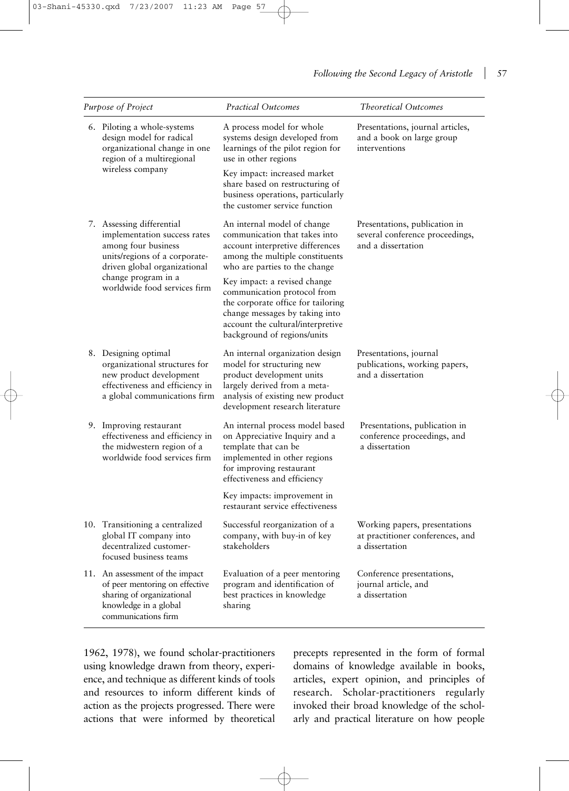## *Following the Second Legacy of Aristotle* | 57

| Purpose of Project |                                                                                                                                                                                                          | <b>Practical Outcomes</b>                                                                                                                                                                               | <b>Theoretical Outcomes</b>                                                            |  |
|--------------------|----------------------------------------------------------------------------------------------------------------------------------------------------------------------------------------------------------|---------------------------------------------------------------------------------------------------------------------------------------------------------------------------------------------------------|----------------------------------------------------------------------------------------|--|
|                    |                                                                                                                                                                                                          |                                                                                                                                                                                                         |                                                                                        |  |
|                    | 6. Piloting a whole-systems<br>design model for radical<br>organizational change in one<br>region of a multiregional<br>wireless company                                                                 | A process model for whole<br>systems design developed from<br>learnings of the pilot region for<br>use in other regions                                                                                 | Presentations, journal articles,<br>and a book on large group<br>interventions         |  |
|                    |                                                                                                                                                                                                          | Key impact: increased market<br>share based on restructuring of<br>business operations, particularly<br>the customer service function                                                                   |                                                                                        |  |
|                    | 7. Assessing differential<br>implementation success rates<br>among four business<br>units/regions of a corporate-<br>driven global organizational<br>change program in a<br>worldwide food services firm | An internal model of change<br>communication that takes into<br>account interpretive differences<br>among the multiple constituents<br>who are parties to the change                                    | Presentations, publication in<br>several conference proceedings,<br>and a dissertation |  |
|                    |                                                                                                                                                                                                          | Key impact: a revised change<br>communication protocol from<br>the corporate office for tailoring<br>change messages by taking into<br>account the cultural/interpretive<br>background of regions/units |                                                                                        |  |
|                    | 8. Designing optimal<br>organizational structures for<br>new product development<br>effectiveness and efficiency in<br>a global communications firm                                                      | An internal organization design<br>model for structuring new<br>product development units<br>largely derived from a meta-<br>analysis of existing new product<br>development research literature        | Presentations, journal<br>publications, working papers,<br>and a dissertation          |  |
|                    | 9. Improving restaurant<br>effectiveness and efficiency in<br>the midwestern region of a<br>worldwide food services firm                                                                                 | An internal process model based<br>on Appreciative Inquiry and a<br>template that can be<br>implemented in other regions<br>for improving restaurant<br>effectiveness and efficiency                    | Presentations, publication in<br>conference proceedings, and<br>a dissertation         |  |
|                    |                                                                                                                                                                                                          | Key impacts: improvement in<br>restaurant service effectiveness                                                                                                                                         |                                                                                        |  |
|                    | 10. Transitioning a centralized<br>global IT company into<br>decentralized customer-<br>focused business teams                                                                                           | Successful reorganization of a<br>company, with buy-in of key<br>stakeholders                                                                                                                           | Working papers, presentations<br>at practitioner conferences, and<br>a dissertation    |  |
|                    | 11. An assessment of the impact<br>of peer mentoring on effective<br>sharing of organizational<br>knowledge in a global<br>communications firm                                                           | Evaluation of a peer mentoring<br>program and identification of<br>best practices in knowledge<br>sharing                                                                                               | Conference presentations,<br>journal article, and<br>a dissertation                    |  |

1962, 1978), we found scholar-practitioners using knowledge drawn from theory, experience, and technique as different kinds of tools and resources to inform different kinds of action as the projects progressed. There were actions that were informed by theoretical

precepts represented in the form of formal domains of knowledge available in books, articles, expert opinion, and principles of research. Scholar-practitioners regularly invoked their broad knowledge of the scholarly and practical literature on how people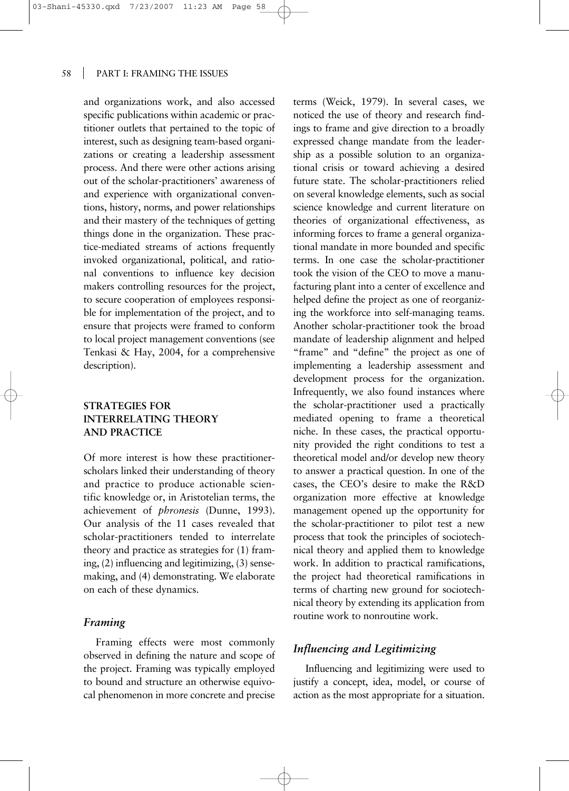and organizations work, and also accessed specific publications within academic or practitioner outlets that pertained to the topic of interest, such as designing team-based organizations or creating a leadership assessment process. And there were other actions arising out of the scholar-practitioners' awareness of and experience with organizational conventions, history, norms, and power relationships and their mastery of the techniques of getting things done in the organization. These practice-mediated streams of actions frequently invoked organizational, political, and rational conventions to influence key decision makers controlling resources for the project, to secure cooperation of employees responsible for implementation of the project, and to ensure that projects were framed to conform to local project management conventions (see Tenkasi & Hay, 2004, for a comprehensive description).

# **STRATEGIES FOR INTERRELATING THEORY AND PRACTICE**

Of more interest is how these practitionerscholars linked their understanding of theory and practice to produce actionable scientific knowledge or, in Aristotelian terms, the achievement of *phronesis* (Dunne, 1993). Our analysis of the 11 cases revealed that scholar-practitioners tended to interrelate theory and practice as strategies for (1) framing, (2) influencing and legitimizing, (3) sensemaking, and (4) demonstrating. We elaborate on each of these dynamics.

## *Framing*

Framing effects were most commonly observed in defining the nature and scope of the project. Framing was typically employed to bound and structure an otherwise equivocal phenomenon in more concrete and precise terms (Weick, 1979). In several cases, we noticed the use of theory and research findings to frame and give direction to a broadly expressed change mandate from the leadership as a possible solution to an organizational crisis or toward achieving a desired future state. The scholar-practitioners relied on several knowledge elements, such as social science knowledge and current literature on theories of organizational effectiveness, as informing forces to frame a general organizational mandate in more bounded and specific terms. In one case the scholar-practitioner took the vision of the CEO to move a manufacturing plant into a center of excellence and helped define the project as one of reorganizing the workforce into self-managing teams. Another scholar-practitioner took the broad mandate of leadership alignment and helped "frame" and "define" the project as one of implementing a leadership assessment and development process for the organization. Infrequently, we also found instances where the scholar-practitioner used a practically mediated opening to frame a theoretical niche. In these cases, the practical opportunity provided the right conditions to test a theoretical model and/or develop new theory to answer a practical question. In one of the cases, the CEO's desire to make the R&D organization more effective at knowledge management opened up the opportunity for the scholar-practitioner to pilot test a new process that took the principles of sociotechnical theory and applied them to knowledge work. In addition to practical ramifications, the project had theoretical ramifications in terms of charting new ground for sociotechnical theory by extending its application from routine work to nonroutine work.

# *Influencing and Legitimizing*

Influencing and legitimizing were used to justify a concept, idea, model, or course of action as the most appropriate for a situation.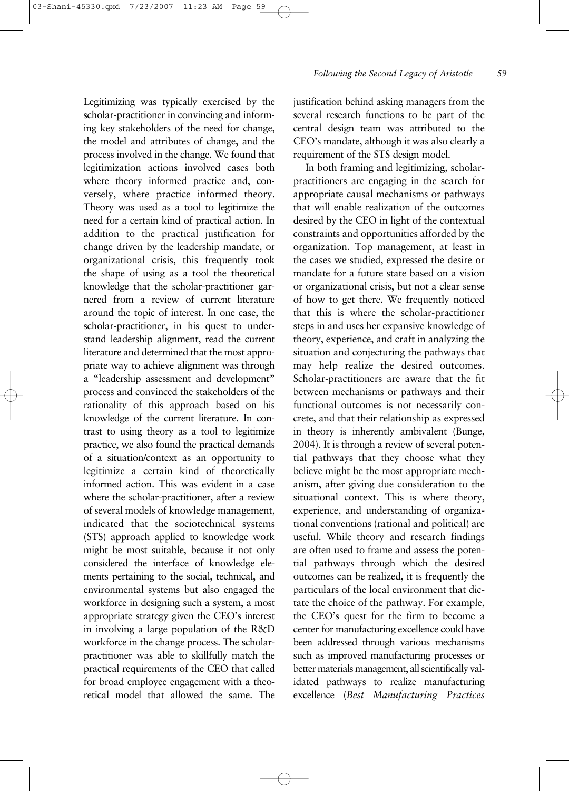Legitimizing was typically exercised by the scholar-practitioner in convincing and informing key stakeholders of the need for change, the model and attributes of change, and the process involved in the change. We found that legitimization actions involved cases both where theory informed practice and, conversely, where practice informed theory. Theory was used as a tool to legitimize the need for a certain kind of practical action. In addition to the practical justification for change driven by the leadership mandate, or organizational crisis, this frequently took the shape of using as a tool the theoretical knowledge that the scholar-practitioner garnered from a review of current literature around the topic of interest. In one case, the scholar-practitioner, in his quest to understand leadership alignment, read the current literature and determined that the most appropriate way to achieve alignment was through a "leadership assessment and development" process and convinced the stakeholders of the rationality of this approach based on his knowledge of the current literature. In contrast to using theory as a tool to legitimize practice, we also found the practical demands of a situation/context as an opportunity to legitimize a certain kind of theoretically informed action. This was evident in a case where the scholar-practitioner, after a review of several models of knowledge management, indicated that the sociotechnical systems (STS) approach applied to knowledge work might be most suitable, because it not only considered the interface of knowledge elements pertaining to the social, technical, and environmental systems but also engaged the workforce in designing such a system, a most appropriate strategy given the CEO's interest in involving a large population of the R&D workforce in the change process. The scholarpractitioner was able to skillfully match the practical requirements of the CEO that called for broad employee engagement with a theoretical model that allowed the same. The

## *Following the Second Legacy of Aristotle* | 59

justification behind asking managers from the several research functions to be part of the central design team was attributed to the CEO's mandate, although it was also clearly a requirement of the STS design model.

In both framing and legitimizing, scholarpractitioners are engaging in the search for appropriate causal mechanisms or pathways that will enable realization of the outcomes desired by the CEO in light of the contextual constraints and opportunities afforded by the organization. Top management, at least in the cases we studied, expressed the desire or mandate for a future state based on a vision or organizational crisis, but not a clear sense of how to get there. We frequently noticed that this is where the scholar-practitioner steps in and uses her expansive knowledge of theory, experience, and craft in analyzing the situation and conjecturing the pathways that may help realize the desired outcomes. Scholar-practitioners are aware that the fit between mechanisms or pathways and their functional outcomes is not necessarily concrete, and that their relationship as expressed in theory is inherently ambivalent (Bunge, 2004). It is through a review of several potential pathways that they choose what they believe might be the most appropriate mechanism, after giving due consideration to the situational context. This is where theory, experience, and understanding of organizational conventions (rational and political) are useful. While theory and research findings are often used to frame and assess the potential pathways through which the desired outcomes can be realized, it is frequently the particulars of the local environment that dictate the choice of the pathway. For example, the CEO's quest for the firm to become a center for manufacturing excellence could have been addressed through various mechanisms such as improved manufacturing processes or better materials management, all scientifically validated pathways to realize manufacturing excellence (*Best Manufacturing Practices*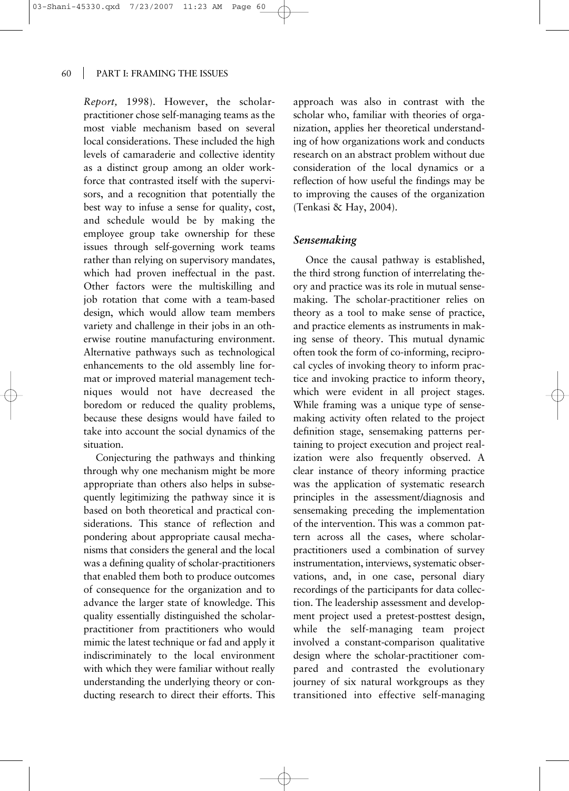*Report,* 1998). However, the scholarpractitioner chose self-managing teams as the most viable mechanism based on several local considerations. These included the high levels of camaraderie and collective identity as a distinct group among an older workforce that contrasted itself with the supervisors, and a recognition that potentially the best way to infuse a sense for quality, cost, and schedule would be by making the employee group take ownership for these issues through self-governing work teams rather than relying on supervisory mandates, which had proven ineffectual in the past. Other factors were the multiskilling and job rotation that come with a team-based design, which would allow team members variety and challenge in their jobs in an otherwise routine manufacturing environment. Alternative pathways such as technological enhancements to the old assembly line format or improved material management techniques would not have decreased the boredom or reduced the quality problems, because these designs would have failed to take into account the social dynamics of the situation.

Conjecturing the pathways and thinking through why one mechanism might be more appropriate than others also helps in subsequently legitimizing the pathway since it is based on both theoretical and practical considerations. This stance of reflection and pondering about appropriate causal mechanisms that considers the general and the local was a defining quality of scholar-practitioners that enabled them both to produce outcomes of consequence for the organization and to advance the larger state of knowledge. This quality essentially distinguished the scholarpractitioner from practitioners who would mimic the latest technique or fad and apply it indiscriminately to the local environment with which they were familiar without really understanding the underlying theory or conducting research to direct their efforts. This

approach was also in contrast with the scholar who, familiar with theories of organization, applies her theoretical understanding of how organizations work and conducts research on an abstract problem without due consideration of the local dynamics or a reflection of how useful the findings may be to improving the causes of the organization (Tenkasi & Hay, 2004).

## *Sensemaking*

Once the causal pathway is established, the third strong function of interrelating theory and practice was its role in mutual sensemaking. The scholar-practitioner relies on theory as a tool to make sense of practice, and practice elements as instruments in making sense of theory. This mutual dynamic often took the form of co-informing, reciprocal cycles of invoking theory to inform practice and invoking practice to inform theory, which were evident in all project stages. While framing was a unique type of sensemaking activity often related to the project definition stage, sensemaking patterns pertaining to project execution and project realization were also frequently observed. A clear instance of theory informing practice was the application of systematic research principles in the assessment/diagnosis and sensemaking preceding the implementation of the intervention. This was a common pattern across all the cases, where scholarpractitioners used a combination of survey instrumentation, interviews, systematic observations, and, in one case, personal diary recordings of the participants for data collection. The leadership assessment and development project used a pretest-posttest design, while the self-managing team project involved a constant-comparison qualitative design where the scholar-practitioner compared and contrasted the evolutionary journey of six natural workgroups as they transitioned into effective self-managing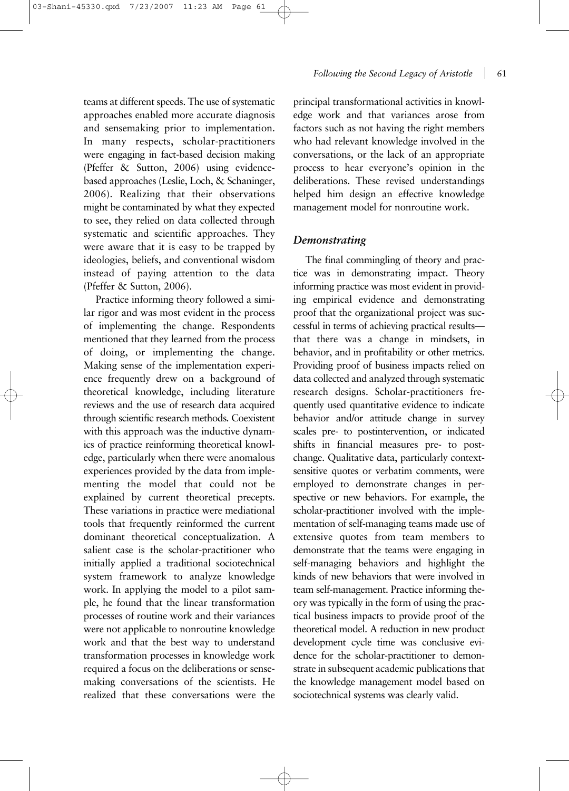teams at different speeds. The use of systematic approaches enabled more accurate diagnosis and sensemaking prior to implementation. In many respects, scholar-practitioners were engaging in fact-based decision making (Pfeffer & Sutton, 2006) using evidencebased approaches (Leslie, Loch, & Schaninger, 2006). Realizing that their observations might be contaminated by what they expected to see, they relied on data collected through systematic and scientific approaches. They were aware that it is easy to be trapped by ideologies, beliefs, and conventional wisdom instead of paying attention to the data (Pfeffer & Sutton, 2006).

Practice informing theory followed a similar rigor and was most evident in the process of implementing the change. Respondents mentioned that they learned from the process of doing, or implementing the change. Making sense of the implementation experience frequently drew on a background of theoretical knowledge, including literature reviews and the use of research data acquired through scientific research methods*.* Coexistent with this approach was the inductive dynamics of practice reinforming theoretical knowledge, particularly when there were anomalous experiences provided by the data from implementing the model that could not be explained by current theoretical precepts. These variations in practice were mediational tools that frequently reinformed the current dominant theoretical conceptualization. A salient case is the scholar-practitioner who initially applied a traditional sociotechnical system framework to analyze knowledge work. In applying the model to a pilot sample, he found that the linear transformation processes of routine work and their variances were not applicable to nonroutine knowledge work and that the best way to understand transformation processes in knowledge work required a focus on the deliberations or sensemaking conversations of the scientists. He realized that these conversations were the

## *Following the Second Legacy of Aristotle* | 61

principal transformational activities in knowledge work and that variances arose from factors such as not having the right members who had relevant knowledge involved in the conversations, or the lack of an appropriate process to hear everyone's opinion in the deliberations. These revised understandings helped him design an effective knowledge management model for nonroutine work.

#### *Demonstrating*

The final commingling of theory and practice was in demonstrating impact. Theory informing practice was most evident in providing empirical evidence and demonstrating proof that the organizational project was successful in terms of achieving practical results that there was a change in mindsets, in behavior, and in profitability or other metrics. Providing proof of business impacts relied on data collected and analyzed through systematic research designs. Scholar-practitioners frequently used quantitative evidence to indicate behavior and/or attitude change in survey scales pre- to postintervention, or indicated shifts in financial measures pre- to postchange. Qualitative data, particularly contextsensitive quotes or verbatim comments, were employed to demonstrate changes in perspective or new behaviors. For example, the scholar-practitioner involved with the implementation of self-managing teams made use of extensive quotes from team members to demonstrate that the teams were engaging in self-managing behaviors and highlight the kinds of new behaviors that were involved in team self-management. Practice informing theory was typically in the form of using the practical business impacts to provide proof of the theoretical model. A reduction in new product development cycle time was conclusive evidence for the scholar-practitioner to demonstrate in subsequent academic publications that the knowledge management model based on sociotechnical systems was clearly valid.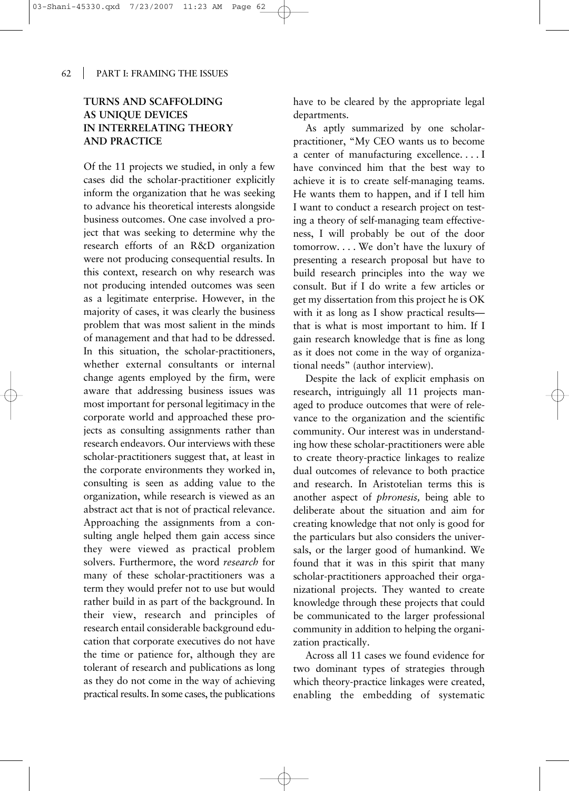# **TURNS AND SCAFFOLDING AS UNIQUE DEVICES IN INTERRELATING THEORY AND PRACTICE**

Of the 11 projects we studied, in only a few cases did the scholar-practitioner explicitly inform the organization that he was seeking to advance his theoretical interests alongside business outcomes. One case involved a project that was seeking to determine why the research efforts of an R&D organization were not producing consequential results. In this context, research on why research was not producing intended outcomes was seen as a legitimate enterprise. However, in the majority of cases, it was clearly the business problem that was most salient in the minds of management and that had to be ddressed. In this situation, the scholar-practitioners, whether external consultants or internal change agents employed by the firm, were aware that addressing business issues was most important for personal legitimacy in the corporate world and approached these projects as consulting assignments rather than research endeavors. Our interviews with these scholar-practitioners suggest that, at least in the corporate environments they worked in, consulting is seen as adding value to the organization, while research is viewed as an abstract act that is not of practical relevance. Approaching the assignments from a consulting angle helped them gain access since they were viewed as practical problem solvers. Furthermore, the word *research* for many of these scholar-practitioners was a term they would prefer not to use but would rather build in as part of the background. In their view, research and principles of research entail considerable background education that corporate executives do not have the time or patience for, although they are tolerant of research and publications as long as they do not come in the way of achieving practical results. In some cases, the publications

have to be cleared by the appropriate legal departments.

As aptly summarized by one scholarpractitioner, "My CEO wants us to become a center of manufacturing excellence. ...I have convinced him that the best way to achieve it is to create self-managing teams. He wants them to happen, and if I tell him I want to conduct a research project on testing a theory of self-managing team effectiveness, I will probably be out of the door tomorrow. . . . We don't have the luxury of presenting a research proposal but have to build research principles into the way we consult. But if I do write a few articles or get my dissertation from this project he is OK with it as long as I show practical results that is what is most important to him. If I gain research knowledge that is fine as long as it does not come in the way of organizational needs" (author interview).

Despite the lack of explicit emphasis on research, intriguingly all 11 projects managed to produce outcomes that were of relevance to the organization and the scientific community. Our interest was in understanding how these scholar-practitioners were able to create theory-practice linkages to realize dual outcomes of relevance to both practice and research. In Aristotelian terms this is another aspect of *phronesis,* being able to deliberate about the situation and aim for creating knowledge that not only is good for the particulars but also considers the universals, or the larger good of humankind. We found that it was in this spirit that many scholar-practitioners approached their organizational projects. They wanted to create knowledge through these projects that could be communicated to the larger professional community in addition to helping the organization practically.

Across all 11 cases we found evidence for two dominant types of strategies through which theory-practice linkages were created, enabling the embedding of systematic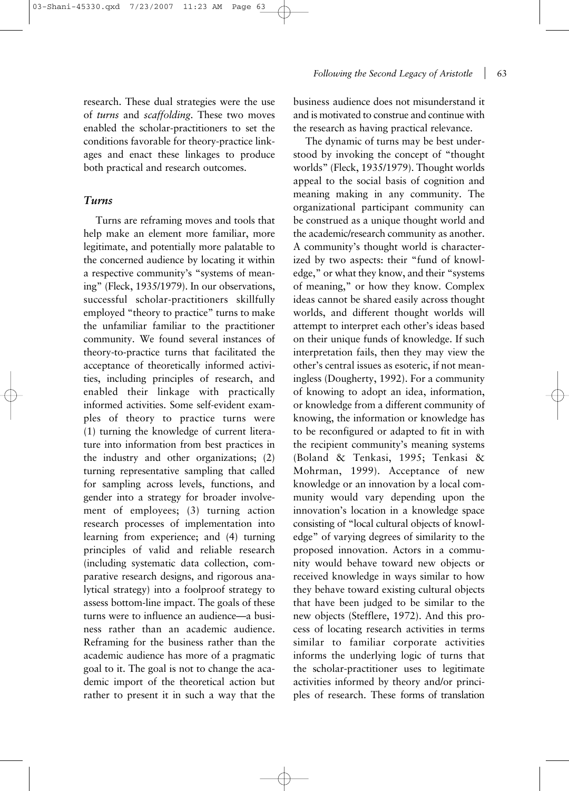research. These dual strategies were the use of *turns* and *scaffolding*. These two moves enabled the scholar-practitioners to set the conditions favorable for theory-practice linkages and enact these linkages to produce both practical and research outcomes.

## *Turns*

Turns are reframing moves and tools that help make an element more familiar, more legitimate, and potentially more palatable to the concerned audience by locating it within a respective community's "systems of meaning" (Fleck, 1935/1979). In our observations, successful scholar-practitioners skillfully employed "theory to practice" turns to make the unfamiliar familiar to the practitioner community. We found several instances of theory-to-practice turns that facilitated the acceptance of theoretically informed activities, including principles of research, and enabled their linkage with practically informed activities. Some self-evident examples of theory to practice turns were (1) turning the knowledge of current literature into information from best practices in the industry and other organizations; (2) turning representative sampling that called for sampling across levels, functions, and gender into a strategy for broader involvement of employees; (3) turning action research processes of implementation into learning from experience; and (4) turning principles of valid and reliable research (including systematic data collection, comparative research designs, and rigorous analytical strategy) into a foolproof strategy to assess bottom-line impact. The goals of these turns were to influence an audience—a business rather than an academic audience. Reframing for the business rather than the academic audience has more of a pragmatic goal to it. The goal is not to change the academic import of the theoretical action but rather to present it in such a way that the

business audience does not misunderstand it and is motivated to construe and continue with the research as having practical relevance.

The dynamic of turns may be best understood by invoking the concept of "thought worlds" (Fleck, 1935/1979). Thought worlds appeal to the social basis of cognition and meaning making in any community. The organizational participant community can be construed as a unique thought world and the academic/research community as another. A community's thought world is characterized by two aspects: their "fund of knowledge," or what they know, and their "systems of meaning," or how they know. Complex ideas cannot be shared easily across thought worlds, and different thought worlds will attempt to interpret each other's ideas based on their unique funds of knowledge. If such interpretation fails, then they may view the other's central issues as esoteric, if not meaningless (Dougherty, 1992). For a community of knowing to adopt an idea, information, or knowledge from a different community of knowing, the information or knowledge has to be reconfigured or adapted to fit in with the recipient community's meaning systems (Boland & Tenkasi, 1995; Tenkasi & Mohrman, 1999). Acceptance of new knowledge or an innovation by a local community would vary depending upon the innovation's location in a knowledge space consisting of "local cultural objects of knowledge" of varying degrees of similarity to the proposed innovation. Actors in a community would behave toward new objects or received knowledge in ways similar to how they behave toward existing cultural objects that have been judged to be similar to the new objects (Stefflere, 1972). And this process of locating research activities in terms similar to familiar corporate activities informs the underlying logic of turns that the scholar-practitioner uses to legitimate activities informed by theory and/or principles of research. These forms of translation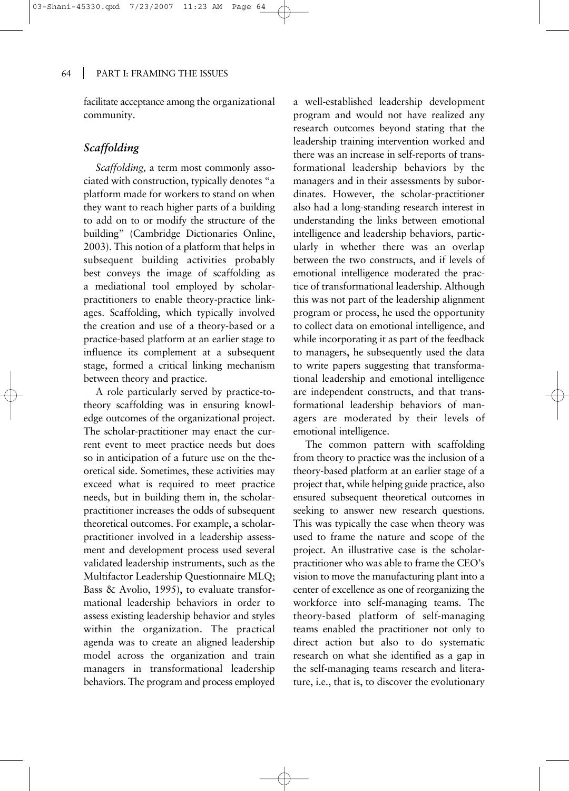facilitate acceptance among the organizational community.

## *Scaffolding*

*Scaffolding,* a term most commonly associated with construction, typically denotes "a platform made for workers to stand on when they want to reach higher parts of a building to add on to or modify the structure of the building" (Cambridge Dictionaries Online, 2003). This notion of a platform that helps in subsequent building activities probably best conveys the image of scaffolding as a mediational tool employed by scholarpractitioners to enable theory-practice linkages. Scaffolding, which typically involved the creation and use of a theory-based or a practice-based platform at an earlier stage to influence its complement at a subsequent stage, formed a critical linking mechanism between theory and practice.

A role particularly served by practice-totheory scaffolding was in ensuring knowledge outcomes of the organizational project. The scholar-practitioner may enact the current event to meet practice needs but does so in anticipation of a future use on the theoretical side. Sometimes, these activities may exceed what is required to meet practice needs, but in building them in, the scholarpractitioner increases the odds of subsequent theoretical outcomes. For example, a scholarpractitioner involved in a leadership assessment and development process used several validated leadership instruments, such as the Multifactor Leadership Questionnaire MLQ; Bass & Avolio, 1995), to evaluate transformational leadership behaviors in order to assess existing leadership behavior and styles within the organization. The practical agenda was to create an aligned leadership model across the organization and train managers in transformational leadership behaviors. The program and process employed

a well-established leadership development program and would not have realized any research outcomes beyond stating that the leadership training intervention worked and there was an increase in self-reports of transformational leadership behaviors by the managers and in their assessments by subordinates. However, the scholar-practitioner also had a long-standing research interest in understanding the links between emotional intelligence and leadership behaviors, particularly in whether there was an overlap between the two constructs, and if levels of emotional intelligence moderated the practice of transformational leadership. Although this was not part of the leadership alignment program or process, he used the opportunity to collect data on emotional intelligence, and while incorporating it as part of the feedback to managers, he subsequently used the data to write papers suggesting that transformational leadership and emotional intelligence are independent constructs, and that transformational leadership behaviors of managers are moderated by their levels of emotional intelligence.

The common pattern with scaffolding from theory to practice was the inclusion of a theory-based platform at an earlier stage of a project that, while helping guide practice, also ensured subsequent theoretical outcomes in seeking to answer new research questions. This was typically the case when theory was used to frame the nature and scope of the project. An illustrative case is the scholarpractitioner who was able to frame the CEO's vision to move the manufacturing plant into a center of excellence as one of reorganizing the workforce into self-managing teams. The theory-based platform of self-managing teams enabled the practitioner not only to direct action but also to do systematic research on what she identified as a gap in the self-managing teams research and literature, i.e., that is, to discover the evolutionary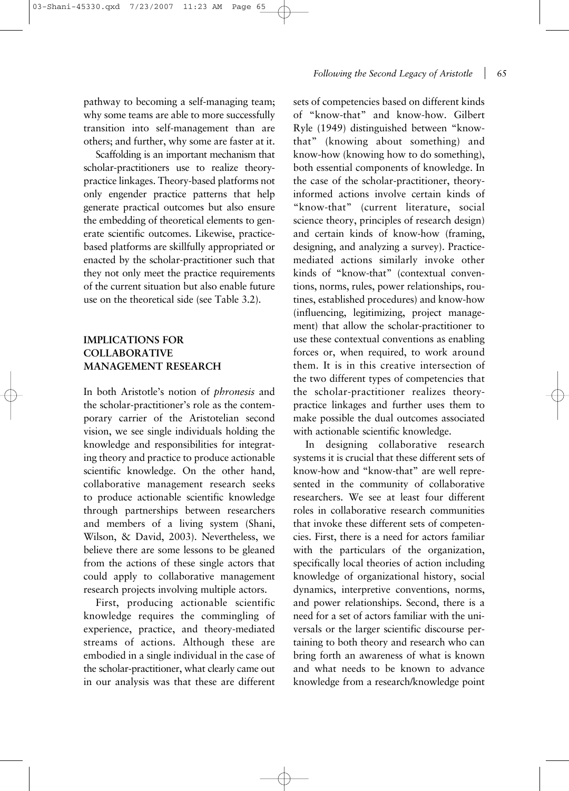pathway to becoming a self-managing team; why some teams are able to more successfully transition into self-management than are others; and further, why some are faster at it.

Scaffolding is an important mechanism that scholar-practitioners use to realize theorypractice linkages. Theory-based platforms not only engender practice patterns that help generate practical outcomes but also ensure the embedding of theoretical elements to generate scientific outcomes. Likewise, practicebased platforms are skillfully appropriated or enacted by the scholar-practitioner such that they not only meet the practice requirements of the current situation but also enable future use on the theoretical side (see Table 3.2).

# **IMPLICATIONS FOR COLLABORATIVE MANAGEMENT RESEARCH**

In both Aristotle's notion of *phronesis* and the scholar-practitioner's role as the contemporary carrier of the Aristotelian second vision, we see single individuals holding the knowledge and responsibilities for integrating theory and practice to produce actionable scientific knowledge. On the other hand, collaborative management research seeks to produce actionable scientific knowledge through partnerships between researchers and members of a living system (Shani, Wilson, & David, 2003). Nevertheless, we believe there are some lessons to be gleaned from the actions of these single actors that could apply to collaborative management research projects involving multiple actors.

First, producing actionable scientific knowledge requires the commingling of experience, practice, and theory-mediated streams of actions. Although these are embodied in a single individual in the case of the scholar-practitioner, what clearly came out in our analysis was that these are different

## *Following the Second Legacy of Aristotle* | 65

sets of competencies based on different kinds of "know-that" and know-how. Gilbert Ryle (1949) distinguished between "knowthat" (knowing about something) and know-how (knowing how to do something), both essential components of knowledge. In the case of the scholar-practitioner, theoryinformed actions involve certain kinds of "know-that" (current literature, social science theory, principles of research design) and certain kinds of know-how (framing, designing, and analyzing a survey). Practicemediated actions similarly invoke other kinds of "know-that" (contextual conventions, norms, rules, power relationships, routines, established procedures) and know-how (influencing, legitimizing, project management) that allow the scholar-practitioner to use these contextual conventions as enabling forces or, when required, to work around them. It is in this creative intersection of the two different types of competencies that the scholar-practitioner realizes theorypractice linkages and further uses them to make possible the dual outcomes associated with actionable scientific knowledge.

In designing collaborative research systems it is crucial that these different sets of know-how and "know-that" are well represented in the community of collaborative researchers. We see at least four different roles in collaborative research communities that invoke these different sets of competencies. First, there is a need for actors familiar with the particulars of the organization, specifically local theories of action including knowledge of organizational history, social dynamics, interpretive conventions, norms, and power relationships. Second, there is a need for a set of actors familiar with the universals or the larger scientific discourse pertaining to both theory and research who can bring forth an awareness of what is known and what needs to be known to advance knowledge from a research/knowledge point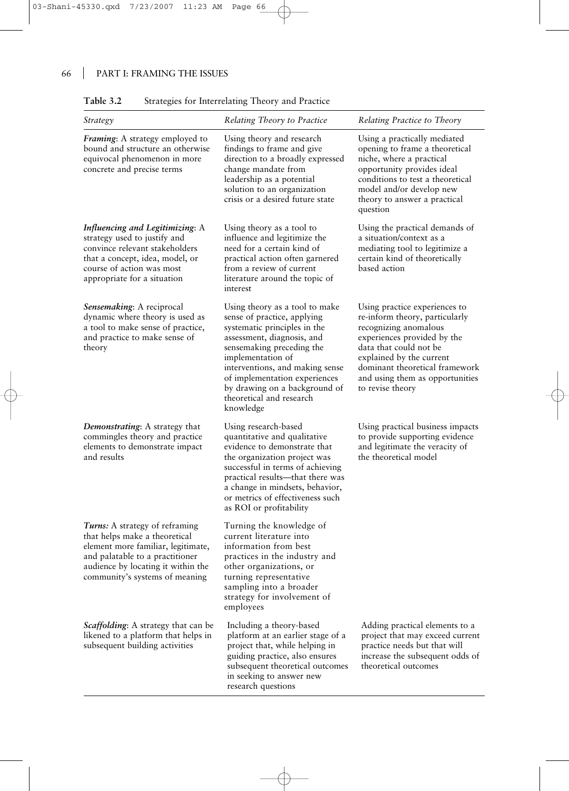| Strategy                                                                                                                                                                                                         | Relating Theory to Practice                                                                                                                                                                                                                                                                                                 | Relating Practice to Theory                                                                                                                                                                                                                                            |  |  |
|------------------------------------------------------------------------------------------------------------------------------------------------------------------------------------------------------------------|-----------------------------------------------------------------------------------------------------------------------------------------------------------------------------------------------------------------------------------------------------------------------------------------------------------------------------|------------------------------------------------------------------------------------------------------------------------------------------------------------------------------------------------------------------------------------------------------------------------|--|--|
| Framing: A strategy employed to<br>bound and structure an otherwise<br>equivocal phenomenon in more<br>concrete and precise terms                                                                                | Using theory and research<br>findings to frame and give<br>direction to a broadly expressed<br>change mandate from<br>leadership as a potential<br>solution to an organization<br>crisis or a desired future state                                                                                                          | Using a practically mediated<br>opening to frame a theoretical<br>niche, where a practical<br>opportunity provides ideal<br>conditions to test a theoretical<br>model and/or develop new<br>theory to answer a practical<br>question                                   |  |  |
| Influencing and Legitimizing: A<br>strategy used to justify and<br>convince relevant stakeholders<br>that a concept, idea, model, or<br>course of action was most<br>appropriate for a situation                 | Using theory as a tool to<br>influence and legitimize the<br>need for a certain kind of<br>practical action often garnered<br>from a review of current<br>literature around the topic of<br>interest                                                                                                                        | Using the practical demands of<br>a situation/context as a<br>mediating tool to legitimize a<br>certain kind of theoretically<br>based action                                                                                                                          |  |  |
| Sensemaking: A reciprocal<br>dynamic where theory is used as<br>a tool to make sense of practice,<br>and practice to make sense of<br>theory                                                                     | Using theory as a tool to make<br>sense of practice, applying<br>systematic principles in the<br>assessment, diagnosis, and<br>sensemaking preceding the<br>implementation of<br>interventions, and making sense<br>of implementation experiences<br>by drawing on a background of<br>theoretical and research<br>knowledge | Using practice experiences to<br>re-inform theory, particularly<br>recognizing anomalous<br>experiences provided by the<br>data that could not be<br>explained by the current<br>dominant theoretical framework<br>and using them as opportunities<br>to revise theory |  |  |
| Demonstrating: A strategy that<br>commingles theory and practice<br>elements to demonstrate impact<br>and results                                                                                                | Using research-based<br>quantitative and qualitative<br>evidence to demonstrate that<br>the organization project was<br>successful in terms of achieving<br>practical results-that there was<br>a change in mindsets, behavior,<br>or metrics of effectiveness such<br>as ROI or profitability                              | Using practical business impacts<br>to provide supporting evidence<br>and legitimate the veracity of<br>the theoretical model                                                                                                                                          |  |  |
| Turns: A strategy of reframing<br>that helps make a theoretical<br>element more familiar, legitimate,<br>and palatable to a practitioner<br>audience by locating it within the<br>community's systems of meaning | Turning the knowledge of<br>current literature into<br>information from best<br>practices in the industry and<br>other organizations, or<br>turning representative<br>sampling into a broader<br>strategy for involvement of<br>employees                                                                                   |                                                                                                                                                                                                                                                                        |  |  |
| <i>Scaffolding</i> : A strategy that can be<br>likened to a platform that helps in<br>subsequent building activities                                                                                             | Including a theory-based<br>platform at an earlier stage of a<br>project that, while helping in<br>guiding practice, also ensures<br>subsequent theoretical outcomes<br>in seeking to answer new<br>research questions                                                                                                      | Adding practical elements to a<br>project that may exceed current<br>practice needs but that will<br>increase the subsequent odds of<br>theoretical outcomes                                                                                                           |  |  |

**Table 3.2** Strategies for Interrelating Theory and Practice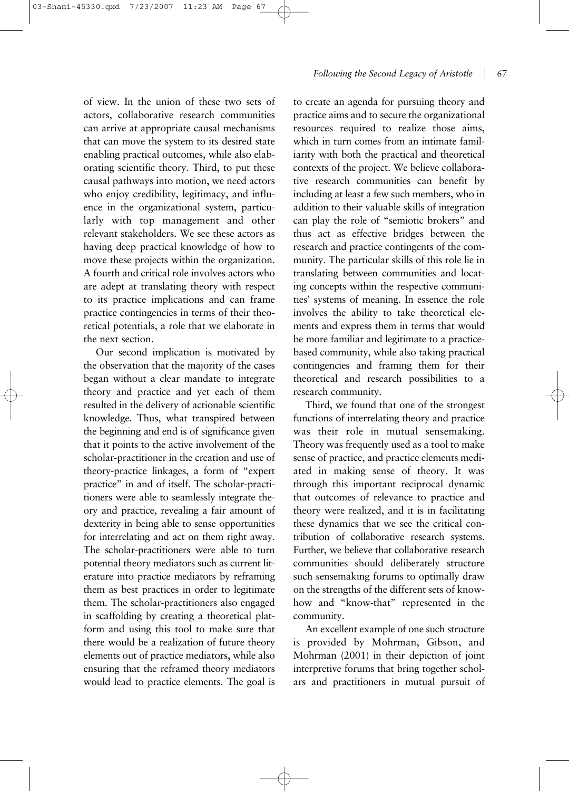of view. In the union of these two sets of actors, collaborative research communities can arrive at appropriate causal mechanisms that can move the system to its desired state enabling practical outcomes, while also elaborating scientific theory. Third, to put these causal pathways into motion, we need actors who enjoy credibility, legitimacy, and influence in the organizational system, particularly with top management and other relevant stakeholders. We see these actors as having deep practical knowledge of how to move these projects within the organization. A fourth and critical role involves actors who are adept at translating theory with respect to its practice implications and can frame practice contingencies in terms of their theoretical potentials, a role that we elaborate in the next section.

Our second implication is motivated by the observation that the majority of the cases began without a clear mandate to integrate theory and practice and yet each of them resulted in the delivery of actionable scientific knowledge. Thus, what transpired between the beginning and end is of significance given that it points to the active involvement of the scholar-practitioner in the creation and use of theory-practice linkages, a form of "expert practice" in and of itself. The scholar-practitioners were able to seamlessly integrate theory and practice, revealing a fair amount of dexterity in being able to sense opportunities for interrelating and act on them right away. The scholar-practitioners were able to turn potential theory mediators such as current literature into practice mediators by reframing them as best practices in order to legitimate them. The scholar-practitioners also engaged in scaffolding by creating a theoretical platform and using this tool to make sure that there would be a realization of future theory elements out of practice mediators, while also ensuring that the reframed theory mediators would lead to practice elements. The goal is

## *Following the Second Legacy of Aristotle* | 67

to create an agenda for pursuing theory and practice aims and to secure the organizational resources required to realize those aims, which in turn comes from an intimate familiarity with both the practical and theoretical contexts of the project. We believe collaborative research communities can benefit by including at least a few such members, who in addition to their valuable skills of integration can play the role of "semiotic brokers" and thus act as effective bridges between the research and practice contingents of the community. The particular skills of this role lie in translating between communities and locating concepts within the respective communities' systems of meaning. In essence the role involves the ability to take theoretical elements and express them in terms that would be more familiar and legitimate to a practicebased community, while also taking practical contingencies and framing them for their theoretical and research possibilities to a research community.

Third, we found that one of the strongest functions of interrelating theory and practice was their role in mutual sensemaking. Theory was frequently used as a tool to make sense of practice, and practice elements mediated in making sense of theory. It was through this important reciprocal dynamic that outcomes of relevance to practice and theory were realized, and it is in facilitating these dynamics that we see the critical contribution of collaborative research systems. Further, we believe that collaborative research communities should deliberately structure such sensemaking forums to optimally draw on the strengths of the different sets of knowhow and "know-that" represented in the community.

An excellent example of one such structure is provided by Mohrman, Gibson, and Mohrman (2001) in their depiction of joint interpretive forums that bring together scholars and practitioners in mutual pursuit of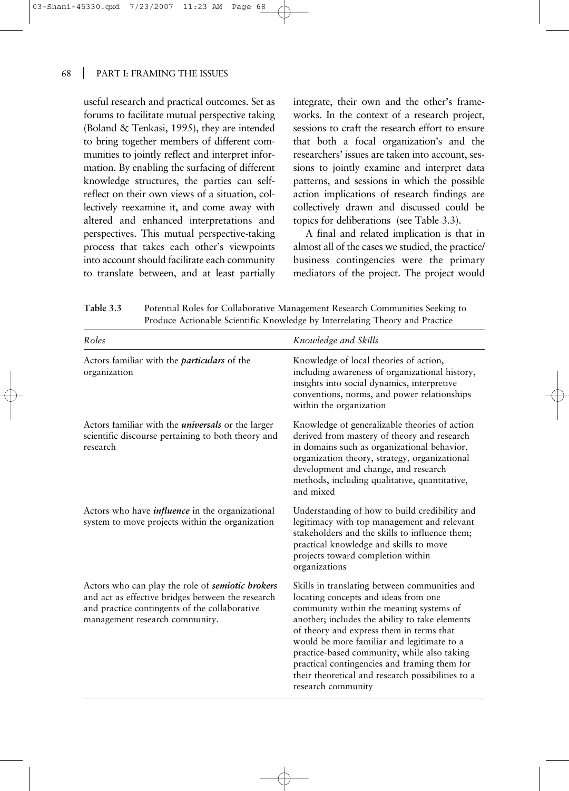useful research and practical outcomes. Set as forums to facilitate mutual perspective taking (Boland & Tenkasi, 1995), they are intended to bring together members of different communities to jointly reflect and interpret information. By enabling the surfacing of different knowledge structures, the parties can selfreflect on their own views of a situation, collectively reexamine it, and come away with altered and enhanced interpretations and perspectives. This mutual perspective-taking process that takes each other's viewpoints into account should facilitate each community to translate between, and at least partially integrate, their own and the other's frameworks. In the context of a research project, sessions to craft the research effort to ensure that both a focal organization's and the researchers' issues are taken into account, sessions to jointly examine and interpret data patterns, and sessions in which the possible action implications of research findings are collectively drawn and discussed could be topics for deliberations (see Table 3.3).

A final and related implication is that in almost all of the cases we studied, the practice/ business contingencies were the primary mediators of the project. The project would

| rrodace richonable belentine renowledge by interretating ricory and rracti                                                                                                               |                                                                                                                                                                                                                                                                                                                                                                                                                                                        |  |  |  |
|------------------------------------------------------------------------------------------------------------------------------------------------------------------------------------------|--------------------------------------------------------------------------------------------------------------------------------------------------------------------------------------------------------------------------------------------------------------------------------------------------------------------------------------------------------------------------------------------------------------------------------------------------------|--|--|--|
| Roles                                                                                                                                                                                    | Knowledge and Skills                                                                                                                                                                                                                                                                                                                                                                                                                                   |  |  |  |
| Actors familiar with the <i>particulars</i> of the<br>organization                                                                                                                       | Knowledge of local theories of action,<br>including awareness of organizational history,<br>insights into social dynamics, interpretive<br>conventions, norms, and power relationships<br>within the organization                                                                                                                                                                                                                                      |  |  |  |
| Actors familiar with the <i>universals</i> or the larger<br>scientific discourse pertaining to both theory and<br>research                                                               | Knowledge of generalizable theories of action<br>derived from mastery of theory and research<br>in domains such as organizational behavior,<br>organization theory, strategy, organizational<br>development and change, and research<br>methods, including qualitative, quantitative,<br>and mixed                                                                                                                                                     |  |  |  |
| Actors who have <i>influence</i> in the organizational<br>system to move projects within the organization                                                                                | Understanding of how to build credibility and<br>legitimacy with top management and relevant<br>stakeholders and the skills to influence them;<br>practical knowledge and skills to move<br>projects toward completion within<br>organizations                                                                                                                                                                                                         |  |  |  |
| Actors who can play the role of semiotic brokers<br>and act as effective bridges between the research<br>and practice contingents of the collaborative<br>management research community. | Skills in translating between communities and<br>locating concepts and ideas from one<br>community within the meaning systems of<br>another; includes the ability to take elements<br>of theory and express them in terms that<br>would be more familiar and legitimate to a<br>practice-based community, while also taking<br>practical contingencies and framing them for<br>their theoretical and research possibilities to a<br>research community |  |  |  |

**Table 3.3** Potential Roles for Collaborative Management Research Communities Seeking to Produce Actionable Scientific Knowledge by Interrelating Theory and Practice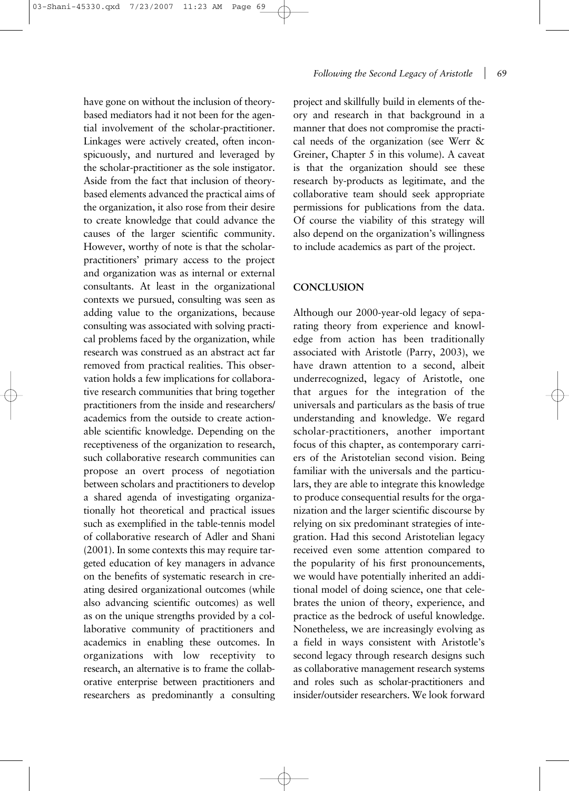have gone on without the inclusion of theorybased mediators had it not been for the agential involvement of the scholar-practitioner. Linkages were actively created, often inconspicuously, and nurtured and leveraged by the scholar-practitioner as the sole instigator. Aside from the fact that inclusion of theorybased elements advanced the practical aims of the organization, it also rose from their desire to create knowledge that could advance the causes of the larger scientific community. However, worthy of note is that the scholarpractitioners' primary access to the project and organization was as internal or external consultants. At least in the organizational contexts we pursued, consulting was seen as adding value to the organizations, because consulting was associated with solving practical problems faced by the organization, while research was construed as an abstract act far removed from practical realities. This observation holds a few implications for collaborative research communities that bring together practitioners from the inside and researchers/ academics from the outside to create actionable scientific knowledge. Depending on the receptiveness of the organization to research, such collaborative research communities can propose an overt process of negotiation between scholars and practitioners to develop a shared agenda of investigating organizationally hot theoretical and practical issues such as exemplified in the table-tennis model of collaborative research of Adler and Shani (2001). In some contexts this may require targeted education of key managers in advance on the benefits of systematic research in creating desired organizational outcomes (while also advancing scientific outcomes) as well as on the unique strengths provided by a collaborative community of practitioners and academics in enabling these outcomes. In organizations with low receptivity to research, an alternative is to frame the collaborative enterprise between practitioners and researchers as predominantly a consulting

#### *Following the Second Legacy of Aristotle* | 69

project and skillfully build in elements of theory and research in that background in a manner that does not compromise the practical needs of the organization (see Werr & Greiner, Chapter 5 in this volume). A caveat is that the organization should see these research by-products as legitimate, and the collaborative team should seek appropriate permissions for publications from the data. Of course the viability of this strategy will also depend on the organization's willingness to include academics as part of the project.

#### **CONCLUSION**

Although our 2000-year-old legacy of separating theory from experience and knowledge from action has been traditionally associated with Aristotle (Parry, 2003), we have drawn attention to a second, albeit underrecognized, legacy of Aristotle, one that argues for the integration of the universals and particulars as the basis of true understanding and knowledge. We regard scholar-practitioners, another important focus of this chapter, as contemporary carriers of the Aristotelian second vision. Being familiar with the universals and the particulars, they are able to integrate this knowledge to produce consequential results for the organization and the larger scientific discourse by relying on six predominant strategies of integration. Had this second Aristotelian legacy received even some attention compared to the popularity of his first pronouncements, we would have potentially inherited an additional model of doing science, one that celebrates the union of theory, experience, and practice as the bedrock of useful knowledge. Nonetheless, we are increasingly evolving as a field in ways consistent with Aristotle's second legacy through research designs such as collaborative management research systems and roles such as scholar-practitioners and insider/outsider researchers. We look forward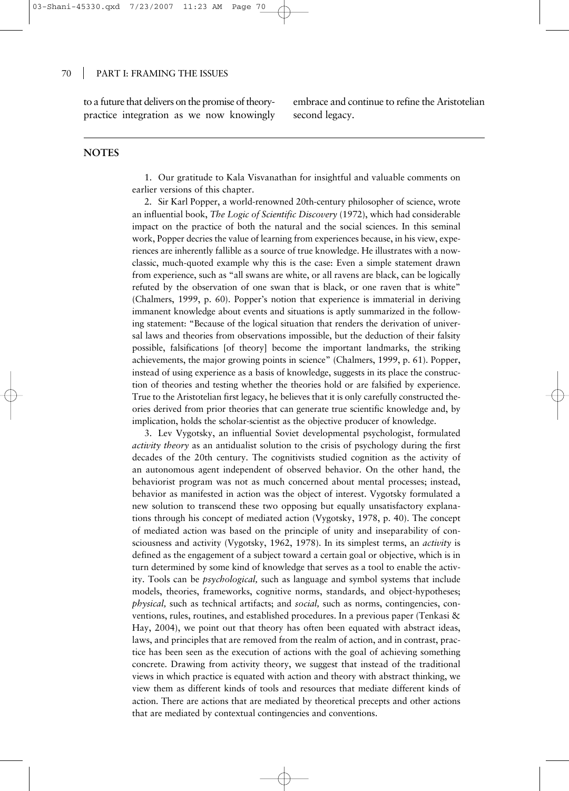to a future that delivers on the promise of theorypractice integration as we now knowingly embrace and continue to refine the Aristotelian second legacy.

## **NOTES**

1. Our gratitude to Kala Visvanathan for insightful and valuable comments on earlier versions of this chapter.

2. Sir Karl Popper, a world-renowned 20th-century philosopher of science, wrote an influential book, *The Logic of Scientific Discovery* (1972), which had considerable impact on the practice of both the natural and the social sciences. In this seminal work, Popper decries the value of learning from experiences because, in his view, experiences are inherently fallible as a source of true knowledge. He illustrates with a nowclassic, much-quoted example why this is the case: Even a simple statement drawn from experience, such as "all swans are white, or all ravens are black, can be logically refuted by the observation of one swan that is black, or one raven that is white" (Chalmers, 1999, p. 60). Popper's notion that experience is immaterial in deriving immanent knowledge about events and situations is aptly summarized in the following statement: "Because of the logical situation that renders the derivation of universal laws and theories from observations impossible, but the deduction of their falsity possible, falsifications [of theory] become the important landmarks, the striking achievements, the major growing points in science" (Chalmers, 1999, p. 61). Popper, instead of using experience as a basis of knowledge, suggests in its place the construction of theories and testing whether the theories hold or are falsified by experience. True to the Aristotelian first legacy, he believes that it is only carefully constructed theories derived from prior theories that can generate true scientific knowledge and, by implication, holds the scholar-scientist as the objective producer of knowledge.

3. Lev Vygotsky, an influential Soviet developmental psychologist, formulated *activity theory* as an antidualist solution to the crisis of psychology during the first decades of the 20th century. The cognitivists studied cognition as the activity of an autonomous agent independent of observed behavior. On the other hand, the behaviorist program was not as much concerned about mental processes; instead, behavior as manifested in action was the object of interest. Vygotsky formulated a new solution to transcend these two opposing but equally unsatisfactory explanations through his concept of mediated action (Vygotsky, 1978, p. 40). The concept of mediated action was based on the principle of unity and inseparability of consciousness and activity (Vygotsky, 1962, 1978). In its simplest terms, an *activity* is defined as the engagement of a subject toward a certain goal or objective, which is in turn determined by some kind of knowledge that serves as a tool to enable the activity. Tools can be *psychological,* such as language and symbol systems that include models, theories, frameworks, cognitive norms, standards, and object-hypotheses; *physical,* such as technical artifacts; and *social,* such as norms, contingencies, conventions, rules, routines, and established procedures. In a previous paper (Tenkasi & Hay, 2004), we point out that theory has often been equated with abstract ideas, laws, and principles that are removed from the realm of action, and in contrast, practice has been seen as the execution of actions with the goal of achieving something concrete. Drawing from activity theory, we suggest that instead of the traditional views in which practice is equated with action and theory with abstract thinking, we view them as different kinds of tools and resources that mediate different kinds of action. There are actions that are mediated by theoretical precepts and other actions that are mediated by contextual contingencies and conventions.